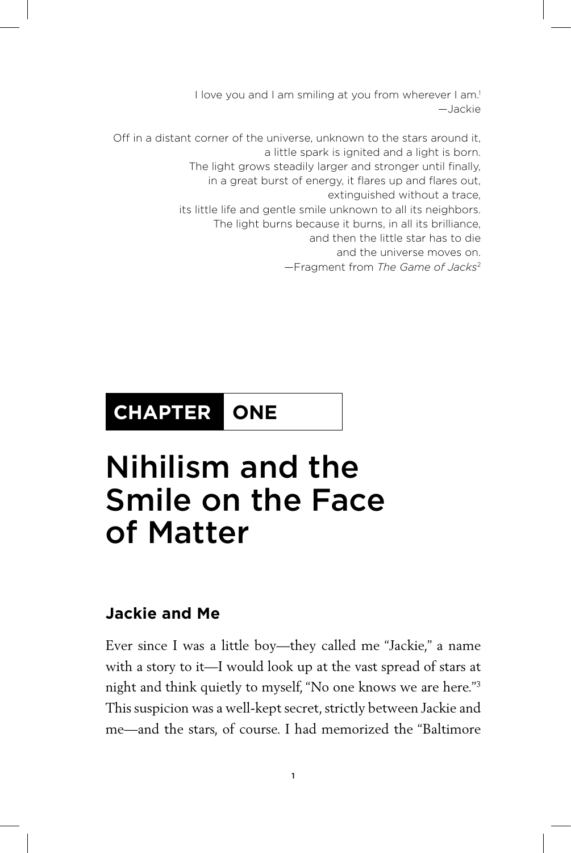I love you and I am smiling at you from wherever I am.<sup>1</sup> —Jackie

Off in a distant corner of the universe, unknown to the stars around it, a little spark is ignited and a light is born. The light grows steadily larger and stronger until finally, in a great burst of energy, it flares up and flares out, extinguished without a trace, its little life and gentle smile unknown to all its neighbors. The light burns because it burns, in all its brilliance, and then the little star has to die and the universe moves on. —Fragment from *The Game of Jacks*<sup>2</sup>

## **CHAPTER ONE**

# Nihilism and the Smile on the Face of Matter

## **Jackie and Me**

Ever since I was a little boy—they called me "Jackie," a name with a story to it—I would look up at the vast spread of stars at night and think quietly to myself, "No one knows we are here."3 This suspicion was a well-kept secret, strictly between Jackie and me—and the stars, of course. I had memorized the "Baltimore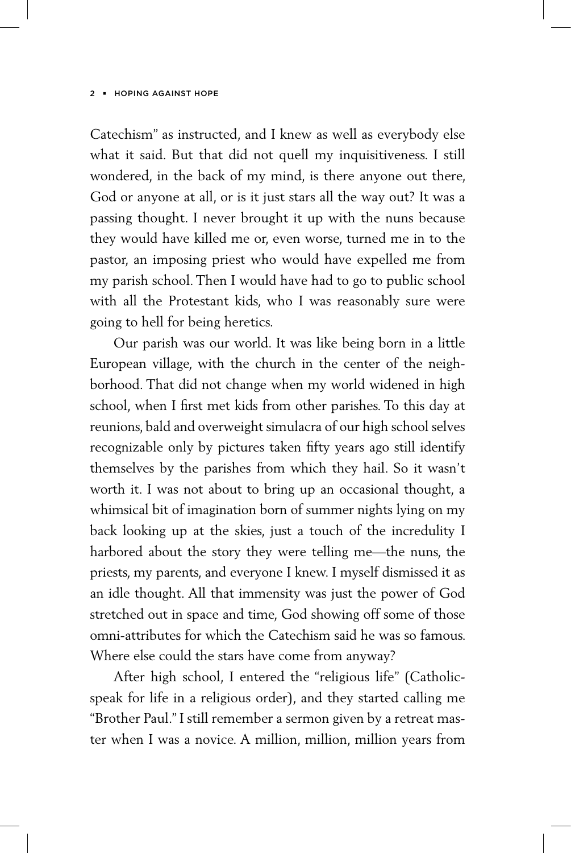#### 2 - HOPING AGAINST HOPE

Catechism" as instructed, and I knew as well as everybody else what it said. But that did not quell my inquisitiveness. I still wondered, in the back of my mind, is there anyone out there, God or anyone at all, or is it just stars all the way out? It was a passing thought. I never brought it up with the nuns because they would have killed me or, even worse, turned me in to the pastor, an imposing priest who would have expelled me from my parish school. Then I would have had to go to public school with all the Protestant kids, who I was reasonably sure were going to hell for being heretics.

Our parish was our world. It was like being born in a little European village, with the church in the center of the neighborhood. That did not change when my world widened in high school, when I first met kids from other parishes. To this day at reunions, bald and overweight simulacra of our high school selves recognizable only by pictures taken fifty years ago still identify themselves by the parishes from which they hail. So it wasn't worth it. I was not about to bring up an occasional thought, a whimsical bit of imagination born of summer nights lying on my back looking up at the skies, just a touch of the incredulity I harbored about the story they were telling me—the nuns, the priests, my parents, and everyone I knew. I myself dismissed it as an idle thought. All that immensity was just the power of God stretched out in space and time, God showing off some of those omni-attributes for which the Catechism said he was so famous. Where else could the stars have come from anyway?

After high school, I entered the "religious life" (Catholicspeak for life in a religious order), and they started calling me "Brother Paul." I still remember a sermon given by a retreat master when I was a novice. A million, million, million years from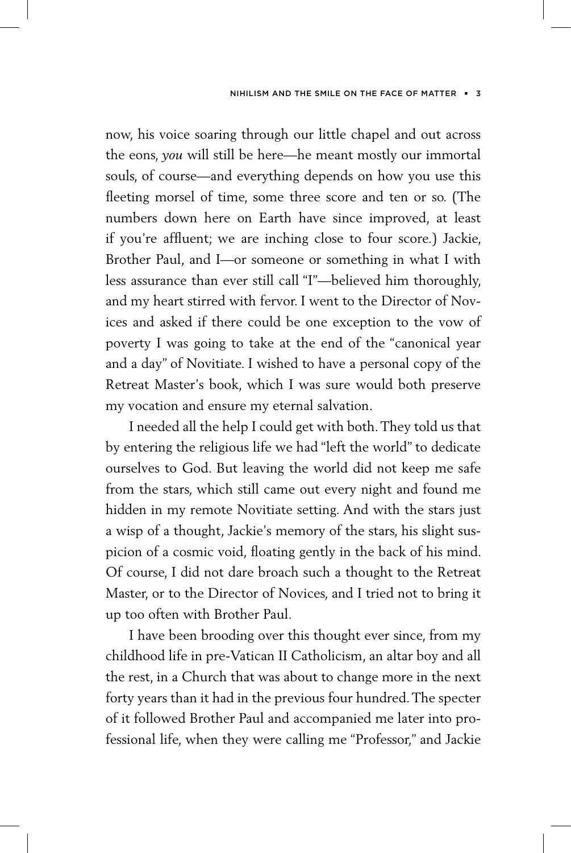now, his voice soaring through our little chapel and out across the eons, *you* will still be here—he meant mostly our immortal souls, of course—and everything depends on how you use this fleeting morsel of time, some three score and ten or so. (The numbers down here on Earth have since improved, at least if you're affluent; we are inching close to four score.) Jackie, Brother Paul, and I—or someone or something in what I with less assurance than ever still call "I"—believed him thoroughly, and my heart stirred with fervor. I went to the Director of Novices and asked if there could be one exception to the vow of poverty I was going to take at the end of the "canonical year and a day" of Novitiate. I wished to have a personal copy of the Retreat Master's book, which I was sure would both preserve my vocation and ensure my eternal salvation.

I needed all the help I could get with both. They told us that by entering the religious life we had "left the world" to dedicate ourselves to God. But leaving the world did not keep me safe from the stars, which still came out every night and found me hidden in my remote Novitiate setting. And with the stars just a wisp of a thought, Jackie's memory of the stars, his slight suspicion of a cosmic void, floating gently in the back of his mind. Of course, I did not dare broach such a thought to the Retreat Master, or to the Director of Novices, and I tried not to bring it up too often with Brother Paul.

I have been brooding over this thought ever since, from my childhood life in pre-Vatican II Catholicism, an altar boy and all the rest, in a Church that was about to change more in the next forty years than it had in the previous four hundred. The specter of it followed Brother Paul and accompanied me later into professional life, when they were calling me "Professor," and Jackie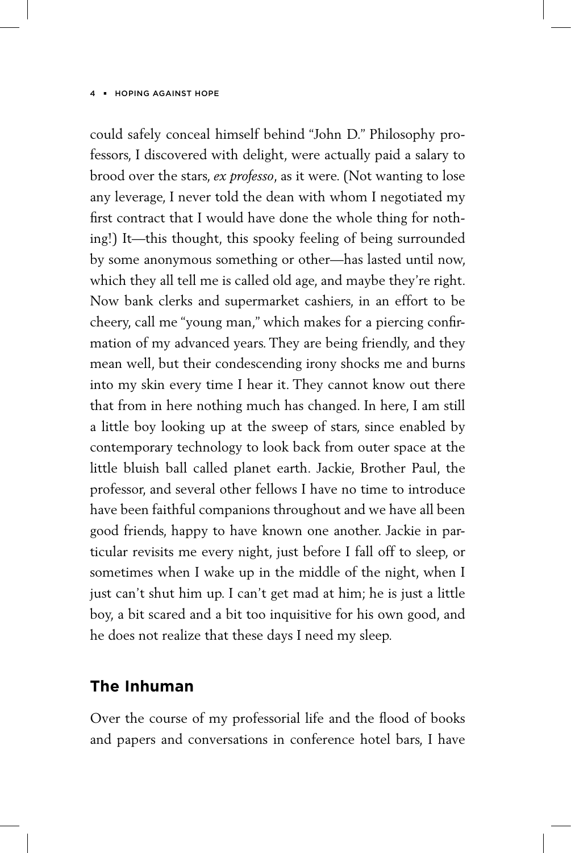#### 4 - HOPING AGAINST HOPE

could safely conceal himself behind "John D." Philosophy professors, I discovered with delight, were actually paid a salary to brood over the stars, *ex professo*, as it were. (Not wanting to lose any leverage, I never told the dean with whom I negotiated my first contract that I would have done the whole thing for nothing!) It—this thought, this spooky feeling of being surrounded by some anonymous something or other—has lasted until now, which they all tell me is called old age, and maybe they're right. Now bank clerks and supermarket cashiers, in an effort to be cheery, call me "young man," which makes for a piercing confirmation of my advanced years. They are being friendly, and they mean well, but their condescending irony shocks me and burns into my skin every time I hear it. They cannot know out there that from in here nothing much has changed. In here, I am still a little boy looking up at the sweep of stars, since enabled by contemporary technology to look back from outer space at the little bluish ball called planet earth. Jackie, Brother Paul, the professor, and several other fellows I have no time to introduce have been faithful companions throughout and we have all been good friends, happy to have known one another. Jackie in particular revisits me every night, just before I fall off to sleep, or sometimes when I wake up in the middle of the night, when I just can't shut him up. I can't get mad at him; he is just a little boy, a bit scared and a bit too inquisitive for his own good, and he does not realize that these days I need my sleep.

#### **The Inhuman**

Over the course of my professorial life and the flood of books and papers and conversations in conference hotel bars, I have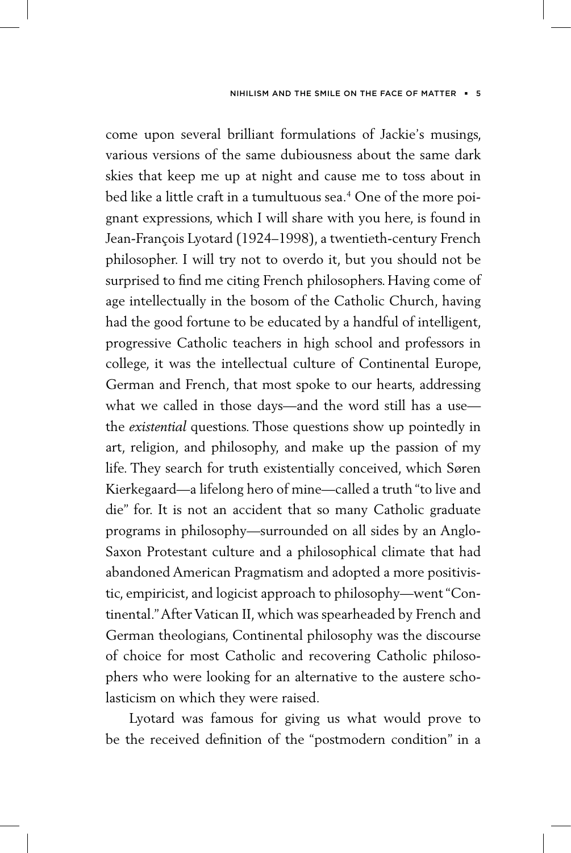come upon several brilliant formulations of Jackie's musings, various versions of the same dubiousness about the same dark skies that keep me up at night and cause me to toss about in bed like a little craft in a tumultuous sea.4 One of the more poignant expressions, which I will share with you here, is found in Jean-François Lyotard (1924–1998), a twentieth-century French philosopher. I will try not to overdo it, but you should not be surprised to find me citing French philosophers. Having come of age intellectually in the bosom of the Catholic Church, having had the good fortune to be educated by a handful of intelligent, progressive Catholic teachers in high school and professors in college, it was the intellectual culture of Continental Europe, German and French, that most spoke to our hearts, addressing what we called in those days—and the word still has a use the *existential* questions. Those questions show up pointedly in art, religion, and philosophy, and make up the passion of my life. They search for truth existentially conceived, which Søren Kierkegaard—a lifelong hero of mine—called a truth "to live and die" for. It is not an accident that so many Catholic graduate programs in philosophy—surrounded on all sides by an Anglo-Saxon Protestant culture and a philosophical climate that had abandoned American Pragmatism and adopted a more positivistic, empiricist, and logicist approach to philosophy—went "Continental." After Vatican II, which was spearheaded by French and German theologians, Continental philosophy was the discourse of choice for most Catholic and recovering Catholic philosophers who were looking for an alternative to the austere scholasticism on which they were raised.

Lyotard was famous for giving us what would prove to be the received definition of the "postmodern condition" in a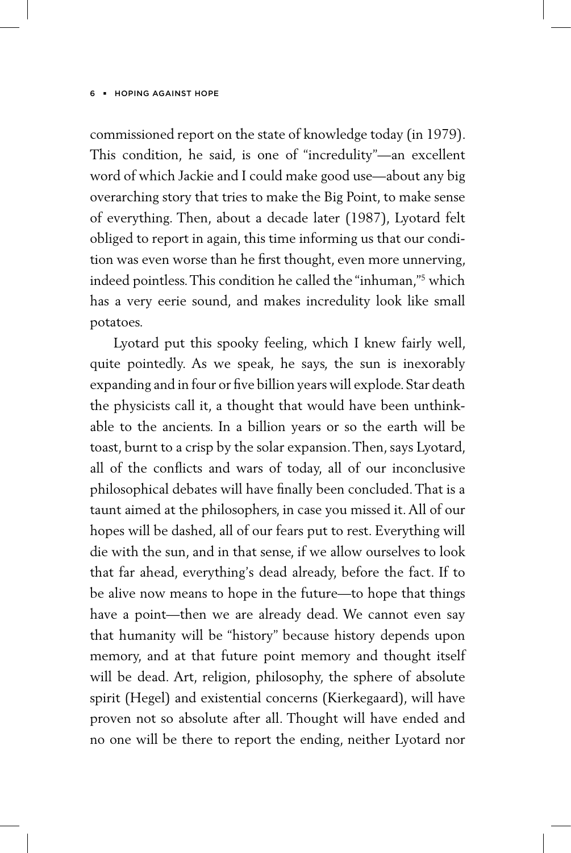commissioned report on the state of knowledge today (in 1979). This condition, he said, is one of "incredulity"—an excellent word of which Jackie and I could make good use—about any big overarching story that tries to make the Big Point, to make sense of everything. Then, about a decade later (1987), Lyotard felt obliged to report in again, this time informing us that our condition was even worse than he first thought, even more unnerving, indeed pointless. This condition he called the "inhuman,"5 which has a very eerie sound, and makes incredulity look like small potatoes.

Lyotard put this spooky feeling, which I knew fairly well, quite pointedly. As we speak, he says, the sun is inexorably expanding and in four or five billion years will explode. Star death the physicists call it, a thought that would have been unthinkable to the ancients. In a billion years or so the earth will be toast, burnt to a crisp by the solar expansion. Then, says Lyotard, all of the conflicts and wars of today, all of our inconclusive philosophical debates will have finally been concluded. That is a taunt aimed at the philosophers, in case you missed it. All of our hopes will be dashed, all of our fears put to rest. Everything will die with the sun, and in that sense, if we allow ourselves to look that far ahead, everything's dead already, before the fact. If to be alive now means to hope in the future—to hope that things have a point—then we are already dead. We cannot even say that humanity will be "history" because history depends upon memory, and at that future point memory and thought itself will be dead. Art, religion, philosophy, the sphere of absolute spirit (Hegel) and existential concerns (Kierkegaard), will have proven not so absolute after all. Thought will have ended and no one will be there to report the ending, neither Lyotard nor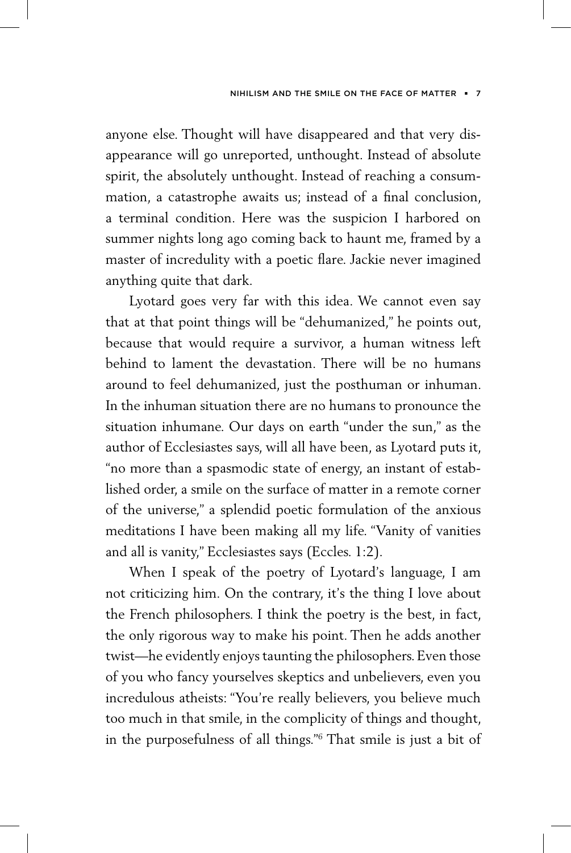anyone else. Thought will have disappeared and that very disappearance will go unreported, unthought. Instead of absolute spirit, the absolutely unthought. Instead of reaching a consummation, a catastrophe awaits us; instead of a final conclusion, a terminal condition. Here was the suspicion I harbored on summer nights long ago coming back to haunt me, framed by a master of incredulity with a poetic flare. Jackie never imagined anything quite that dark.

Lyotard goes very far with this idea. We cannot even say that at that point things will be "dehumanized," he points out, because that would require a survivor, a human witness left behind to lament the devastation. There will be no humans around to feel dehumanized, just the posthuman or inhuman. In the inhuman situation there are no humans to pronounce the situation inhumane. Our days on earth "under the sun," as the author of Ecclesiastes says, will all have been, as Lyotard puts it, "no more than a spasmodic state of energy, an instant of established order, a smile on the surface of matter in a remote corner of the universe," a splendid poetic formulation of the anxious meditations I have been making all my life. "Vanity of vanities and all is vanity," Ecclesiastes says (Eccles. 1:2).

When I speak of the poetry of Lyotard's language, I am not criticizing him. On the contrary, it's the thing I love about the French philosophers. I think the poetry is the best, in fact, the only rigorous way to make his point. Then he adds another twist—he evidently enjoys taunting the philosophers. Even those of you who fancy yourselves skeptics and unbelievers, even you incredulous atheists: "You're really believers, you believe much too much in that smile, in the complicity of things and thought, in the purposefulness of all things."6 That smile is just a bit of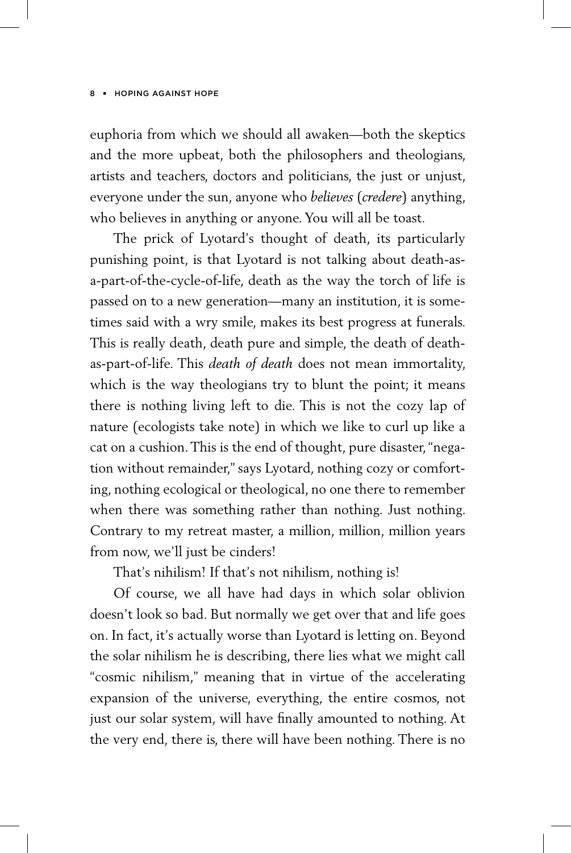#### 8 - HOPING AGAINST HOPE

euphoria from which we should all awaken—both the skeptics and the more upbeat, both the philosophers and theologians, artists and teachers, doctors and politicians, the just or unjust, everyone under the sun, anyone who *believes* (*credere*) anything, who believes in anything or anyone. You will all be toast.

The prick of Lyotard's thought of death, its particularly punishing point, is that Lyotard is not talking about death-asa-part-of-the-cycle-of-life, death as the way the torch of life is passed on to a new generation—many an institution, it is sometimes said with a wry smile, makes its best progress at funerals. This is really death, death pure and simple, the death of deathas-part-of-life. This *death of death* does not mean immortality, which is the way theologians try to blunt the point; it means there is nothing living left to die. This is not the cozy lap of nature (ecologists take note) in which we like to curl up like a cat on a cushion. This is the end of thought, pure disaster, "negation without remainder," says Lyotard, nothing cozy or comforting, nothing ecological or theological, no one there to remember when there was something rather than nothing. Just nothing. Contrary to my retreat master, a million, million, million years from now, we'll just be cinders!

That's nihilism! If that's not nihilism, nothing is!

Of course, we all have had days in which solar oblivion doesn't look so bad. But normally we get over that and life goes on. In fact, it's actually worse than Lyotard is letting on. Beyond the solar nihilism he is describing, there lies what we might call "cosmic nihilism," meaning that in virtue of the accelerating expansion of the universe, everything, the entire cosmos, not just our solar system, will have finally amounted to nothing. At the very end, there is, there will have been nothing. There is no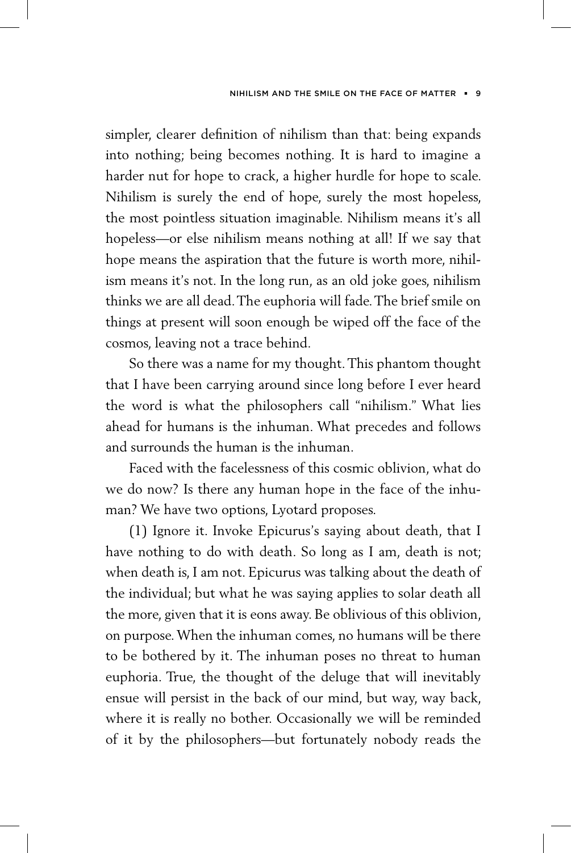simpler, clearer definition of nihilism than that: being expands into nothing; being becomes nothing. It is hard to imagine a harder nut for hope to crack, a higher hurdle for hope to scale. Nihilism is surely the end of hope, surely the most hopeless, the most pointless situation imaginable. Nihilism means it's all hopeless—or else nihilism means nothing at all! If we say that hope means the aspiration that the future is worth more, nihilism means it's not. In the long run, as an old joke goes, nihilism thinks we are all dead. The euphoria will fade. The brief smile on things at present will soon enough be wiped off the face of the cosmos, leaving not a trace behind.

So there was a name for my thought. This phantom thought that I have been carrying around since long before I ever heard the word is what the philosophers call "nihilism." What lies ahead for humans is the inhuman. What precedes and follows and surrounds the human is the inhuman.

Faced with the facelessness of this cosmic oblivion, what do we do now? Is there any human hope in the face of the inhuman? We have two options, Lyotard proposes.

(1) Ignore it. Invoke Epicurus's saying about death, that I have nothing to do with death. So long as I am, death is not; when death is, I am not. Epicurus was talking about the death of the individual; but what he was saying applies to solar death all the more, given that it is eons away. Be oblivious of this oblivion, on purpose. When the inhuman comes, no humans will be there to be bothered by it. The inhuman poses no threat to human euphoria. True, the thought of the deluge that will inevitably ensue will persist in the back of our mind, but way, way back, where it is really no bother. Occasionally we will be reminded of it by the philosophers—but fortunately nobody reads the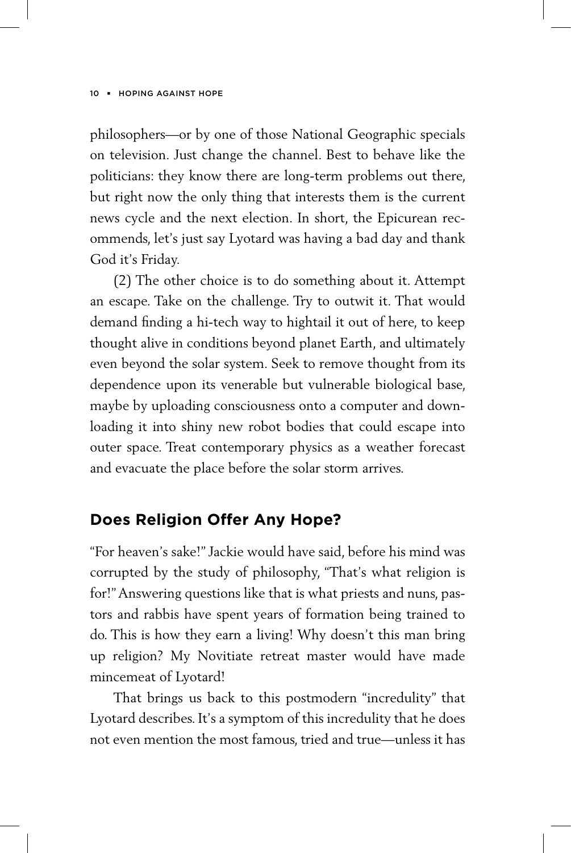philosophers—or by one of those National Geographic specials on television. Just change the channel. Best to behave like the politicians: they know there are long-term problems out there, but right now the only thing that interests them is the current news cycle and the next election. In short, the Epicurean recommends, let's just say Lyotard was having a bad day and thank God it's Friday.

(2) The other choice is to do something about it. Attempt an escape. Take on the challenge. Try to outwit it. That would demand finding a hi-tech way to hightail it out of here, to keep thought alive in conditions beyond planet Earth, and ultimately even beyond the solar system. Seek to remove thought from its dependence upon its venerable but vulnerable biological base, maybe by uploading consciousness onto a computer and downloading it into shiny new robot bodies that could escape into outer space. Treat contemporary physics as a weather forecast and evacuate the place before the solar storm arrives.

## **Does Religion Offer Any Hope?**

"For heaven's sake!" Jackie would have said, before his mind was corrupted by the study of philosophy, "That's what religion is for!" Answering questions like that is what priests and nuns, pastors and rabbis have spent years of formation being trained to do. This is how they earn a living! Why doesn't this man bring up religion? My Novitiate retreat master would have made mincemeat of Lyotard!

That brings us back to this postmodern "incredulity" that Lyotard describes. It's a symptom of this incredulity that he does not even mention the most famous, tried and true—unless it has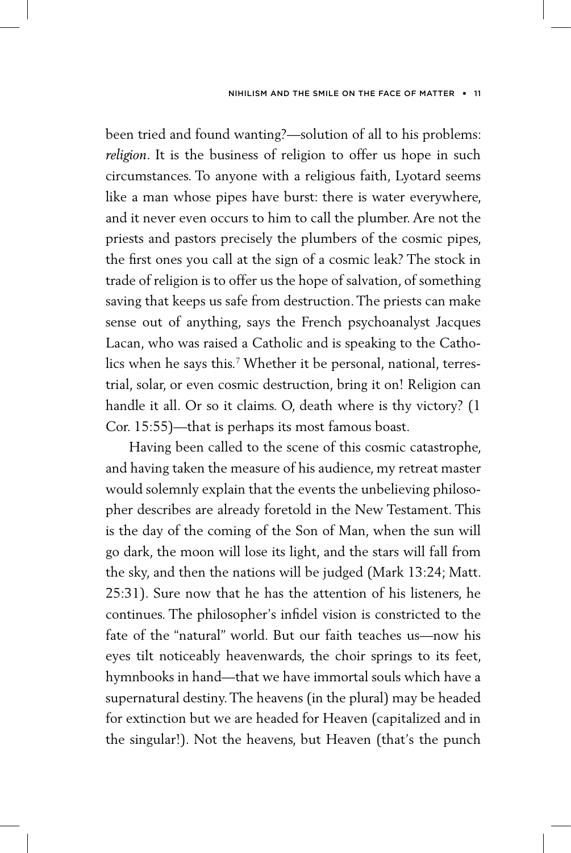been tried and found wanting?—solution of all to his problems: *religion*. It is the business of religion to offer us hope in such circumstances. To anyone with a religious faith, Lyotard seems like a man whose pipes have burst: there is water everywhere, and it never even occurs to him to call the plumber. Are not the priests and pastors precisely the plumbers of the cosmic pipes, the first ones you call at the sign of a cosmic leak? The stock in trade of religion is to offer us the hope of salvation, of something saving that keeps us safe from destruction. The priests can make sense out of anything, says the French psychoanalyst Jacques Lacan, who was raised a Catholic and is speaking to the Catholics when he says this.7 Whether it be personal, national, terrestrial, solar, or even cosmic destruction, bring it on! Religion can handle it all. Or so it claims. O, death where is thy victory? (1 Cor. 15:55)—that is perhaps its most famous boast.

Having been called to the scene of this cosmic catastrophe, and having taken the measure of his audience, my retreat master would solemnly explain that the events the unbelieving philosopher describes are already foretold in the New Testament. This is the day of the coming of the Son of Man, when the sun will go dark, the moon will lose its light, and the stars will fall from the sky, and then the nations will be judged (Mark 13:24; Matt. 25:31). Sure now that he has the attention of his listeners, he continues. The philosopher's infidel vision is constricted to the fate of the "natural" world. But our faith teaches us—now his eyes tilt noticeably heavenwards, the choir springs to its feet, hymnbooks in hand—that we have immortal souls which have a supernatural destiny. The heavens (in the plural) may be headed for extinction but we are headed for Heaven (capitalized and in the singular!). Not the heavens, but Heaven (that's the punch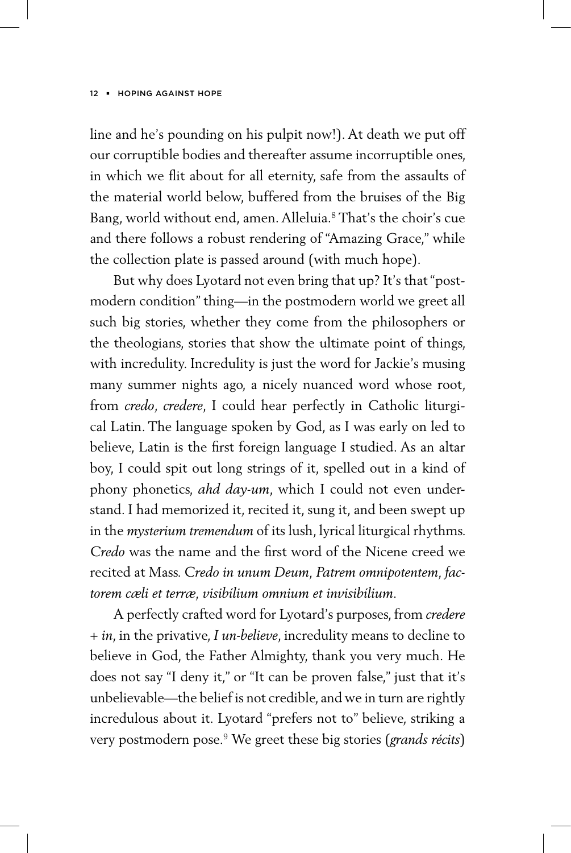line and he's pounding on his pulpit now!). At death we put off our corruptible bodies and thereafter assume incorruptible ones, in which we flit about for all eternity, safe from the assaults of the material world below, buffered from the bruises of the Big Bang, world without end, amen. Alleluia.8 That's the choir's cue and there follows a robust rendering of "Amazing Grace," while the collection plate is passed around (with much hope).

But why does Lyotard not even bring that up? It's that "postmodern condition" thing—in the postmodern world we greet all such big stories, whether they come from the philosophers or the theologians, stories that show the ultimate point of things, with incredulity. Incredulity is just the word for Jackie's musing many summer nights ago, a nicely nuanced word whose root, from *credo*, *credere*, I could hear perfectly in Catholic liturgical Latin. The language spoken by God, as I was early on led to believe, Latin is the first foreign language I studied. As an altar boy, I could spit out long strings of it, spelled out in a kind of phony phonetics, *ahd day-um*, which I could not even understand. I had memorized it, recited it, sung it, and been swept up in the *mysterium tremendum* of its lush, lyrical liturgical rhythms. *Credo* was the name and the first word of the Nicene creed we recited at Mass. *Credo in unum Deum, Patrem omnipotentem, factorem cæli et terræ, visibílium omnium et invisibílium.* 

A perfectly crafted word for Lyotard's purposes, from *credere* + *in*, in the privative, *I un-believe*, incredulity means to decline to believe in God, the Father Almighty, thank you very much. He does not say "I deny it," or "It can be proven false," just that it's unbelievable—the belief is not credible, and we in turn are rightly incredulous about it. Lyotard "prefers not to" believe, striking a very postmodern pose*.* <sup>9</sup> We greet these big stories (*grands récits*)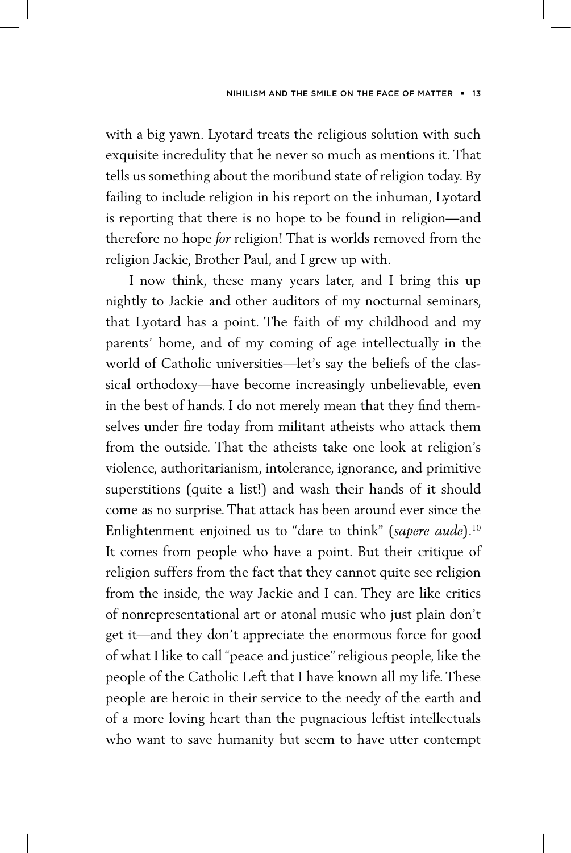with a big yawn. Lyotard treats the religious solution with such exquisite incredulity that he never so much as mentions it. That tells us something about the moribund state of religion today. By failing to include religion in his report on the inhuman, Lyotard is reporting that there is no hope to be found in religion—and therefore no hope *for* religion! That is worlds removed from the religion Jackie, Brother Paul, and I grew up with.

I now think, these many years later, and I bring this up nightly to Jackie and other auditors of my nocturnal seminars, that Lyotard has a point. The faith of my childhood and my parents' home, and of my coming of age intellectually in the world of Catholic universities—let's say the beliefs of the classical orthodoxy—have become increasingly unbelievable, even in the best of hands. I do not merely mean that they find themselves under fire today from militant atheists who attack them from the outside. That the atheists take one look at religion's violence, authoritarianism, intolerance, ignorance, and primitive superstitions (quite a list!) and wash their hands of it should come as no surprise. That attack has been around ever since the Enlightenment enjoined us to "dare to think" (*sapere aude*).10 It comes from people who have a point. But their critique of religion suffers from the fact that they cannot quite see religion from the inside, the way Jackie and I can. They are like critics of nonrepresentational art or atonal music who just plain don't get it—and they don't appreciate the enormous force for good of what I like to call "peace and justice" religious people, like the people of the Catholic Left that I have known all my life. These people are heroic in their service to the needy of the earth and of a more loving heart than the pugnacious leftist intellectuals who want to save humanity but seem to have utter contempt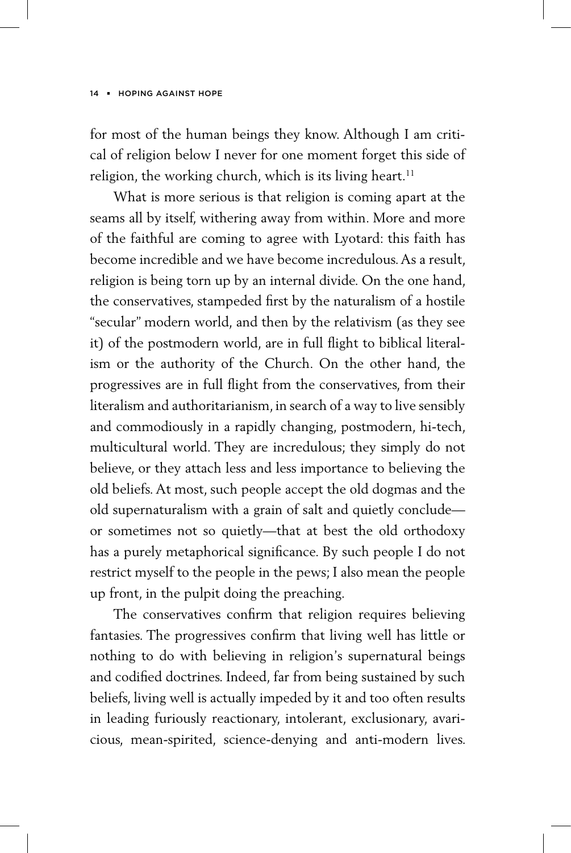for most of the human beings they know. Although I am critical of religion below I never for one moment forget this side of religion, the working church, which is its living heart.<sup>11</sup>

What is more serious is that religion is coming apart at the seams all by itself, withering away from within. More and more of the faithful are coming to agree with Lyotard: this faith has become incredible and we have become incredulous. As a result, religion is being torn up by an internal divide. On the one hand, the conservatives, stampeded first by the naturalism of a hostile "secular" modern world, and then by the relativism (as they see it) of the postmodern world, are in full flight to biblical literalism or the authority of the Church. On the other hand, the progressives are in full flight from the conservatives, from their literalism and authoritarianism, in search of a way to live sensibly and commodiously in a rapidly changing, postmodern, hi-tech, multicultural world. They are incredulous; they simply do not believe, or they attach less and less importance to believing the old beliefs. At most, such people accept the old dogmas and the old supernaturalism with a grain of salt and quietly conclude or sometimes not so quietly—that at best the old orthodoxy has a purely metaphorical significance. By such people I do not restrict myself to the people in the pews; I also mean the people up front, in the pulpit doing the preaching.

The conservatives confirm that religion requires believing fantasies. The progressives confirm that living well has little or nothing to do with believing in religion's supernatural beings and codified doctrines. Indeed, far from being sustained by such beliefs, living well is actually impeded by it and too often results in leading furiously reactionary, intolerant, exclusionary, avaricious, mean-spirited, science-denying and anti-modern lives.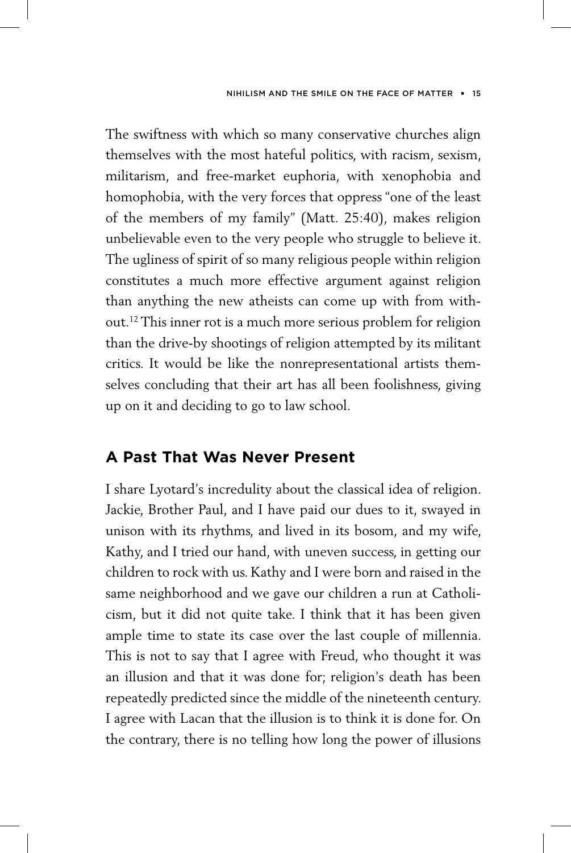The swiftness with which so many conservative churches align themselves with the most hateful politics, with racism, sexism, militarism, and free-market euphoria, with xenophobia and homophobia, with the very forces that oppress "one of the least of the members of my family" (Matt. 25:40), makes religion unbelievable even to the very people who struggle to believe it. The ugliness of spirit of so many religious people within religion constitutes a much more effective argument against religion than anything the new atheists can come up with from without.12 This inner rot is a much more serious problem for religion than the drive-by shootings of religion attempted by its militant critics. It would be like the nonrepresentational artists themselves concluding that their art has all been foolishness, giving up on it and deciding to go to law school.

## **A Past That Was Never Present**

I share Lyotard's incredulity about the classical idea of religion. Jackie, Brother Paul, and I have paid our dues to it, swayed in unison with its rhythms, and lived in its bosom, and my wife, Kathy, and I tried our hand, with uneven success, in getting our children to rock with us. Kathy and I were born and raised in the same neighborhood and we gave our children a run at Catholicism, but it did not quite take. I think that it has been given ample time to state its case over the last couple of millennia. This is not to say that I agree with Freud, who thought it was an illusion and that it was done for; religion's death has been repeatedly predicted since the middle of the nineteenth century. I agree with Lacan that the illusion is to think it is done for. On the contrary, there is no telling how long the power of illusions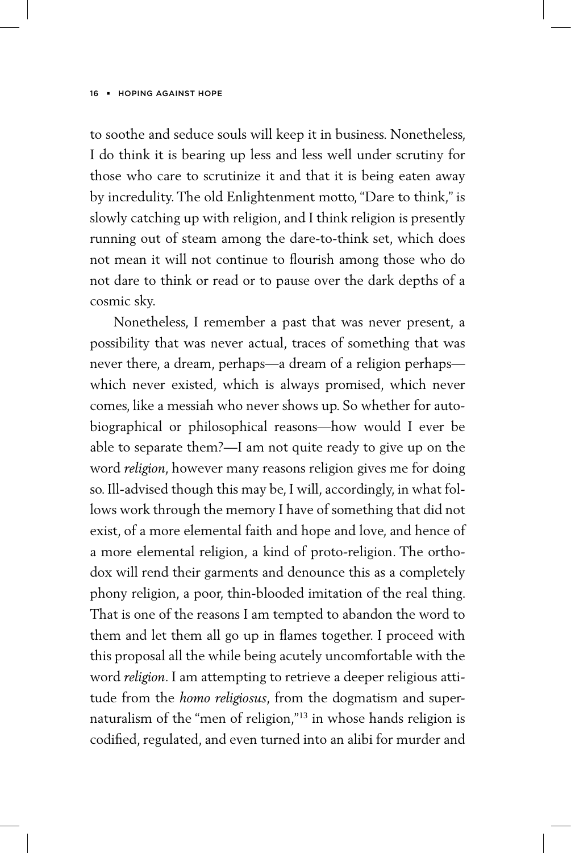to soothe and seduce souls will keep it in business. Nonetheless, I do think it is bearing up less and less well under scrutiny for those who care to scrutinize it and that it is being eaten away by incredulity. The old Enlightenment motto, "Dare to think," is slowly catching up with religion, and I think religion is presently running out of steam among the dare-to-think set, which does not mean it will not continue to flourish among those who do not dare to think or read or to pause over the dark depths of a cosmic sky.

Nonetheless, I remember a past that was never present, a possibility that was never actual, traces of something that was never there, a dream, perhaps—a dream of a religion perhaps which never existed, which is always promised, which never comes, like a messiah who never shows up. So whether for autobiographical or philosophical reasons—how would I ever be able to separate them?—I am not quite ready to give up on the word *religion*, however many reasons religion gives me for doing so. Ill-advised though this may be, I will, accordingly, in what follows work through the memory I have of something that did not exist, of a more elemental faith and hope and love, and hence of a more elemental religion, a kind of proto-religion. The orthodox will rend their garments and denounce this as a completely phony religion, a poor, thin-blooded imitation of the real thing. That is one of the reasons I am tempted to abandon the word to them and let them all go up in flames together. I proceed with this proposal all the while being acutely uncomfortable with the word *religion*. I am attempting to retrieve a deeper religious attitude from the *homo religiosus*, from the dogmatism and supernaturalism of the "men of religion,"13 in whose hands religion is codified, regulated, and even turned into an alibi for murder and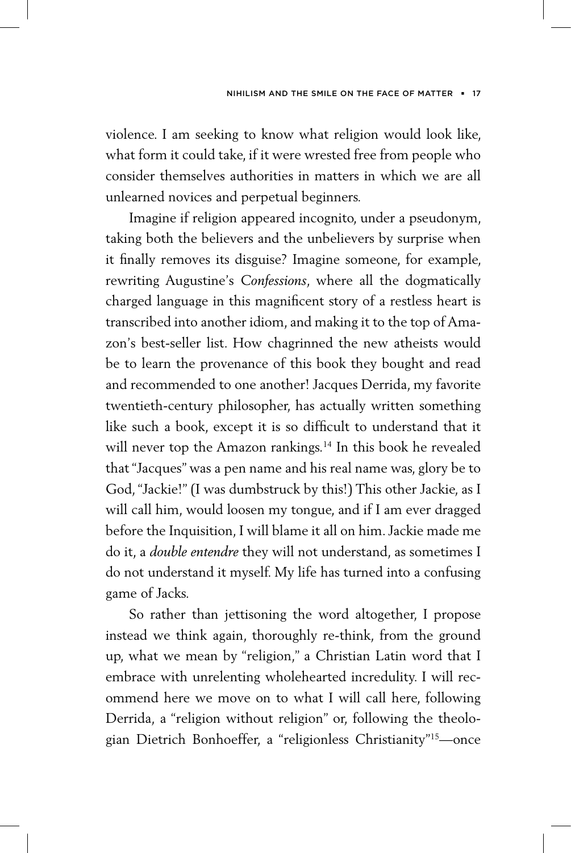violence. I am seeking to know what religion would look like, what form it could take, if it were wrested free from people who consider themselves authorities in matters in which we are all unlearned novices and perpetual beginners.

Imagine if religion appeared incognito, under a pseudonym, taking both the believers and the unbelievers by surprise when it finally removes its disguise? Imagine someone, for example, rewriting Augustine's *Confessions*, where all the dogmatically charged language in this magnificent story of a restless heart is transcribed into another idiom, and making it to the top of Amazon's best-seller list. How chagrinned the new atheists would be to learn the provenance of this book they bought and read and recommended to one another! Jacques Derrida, my favorite twentieth-century philosopher, has actually written something like such a book, except it is so difficult to understand that it will never top the Amazon rankings.<sup>14</sup> In this book he revealed that "Jacques" was a pen name and his real name was, glory be to God, "Jackie!" (I was dumbstruck by this!) This other Jackie, as I will call him, would loosen my tongue, and if I am ever dragged before the Inquisition, I will blame it all on him. Jackie made me do it, a *double entendre* they will not understand, as sometimes I do not understand it myself. My life has turned into a confusing game of Jacks.

So rather than jettisoning the word altogether, I propose instead we think again, thoroughly re-think, from the ground up, what we mean by "religion," a Christian Latin word that I embrace with unrelenting wholehearted incredulity. I will recommend here we move on to what I will call here, following Derrida, a "religion without religion" or, following the theologian Dietrich Bonhoeffer, a "religionless Christianity"15—once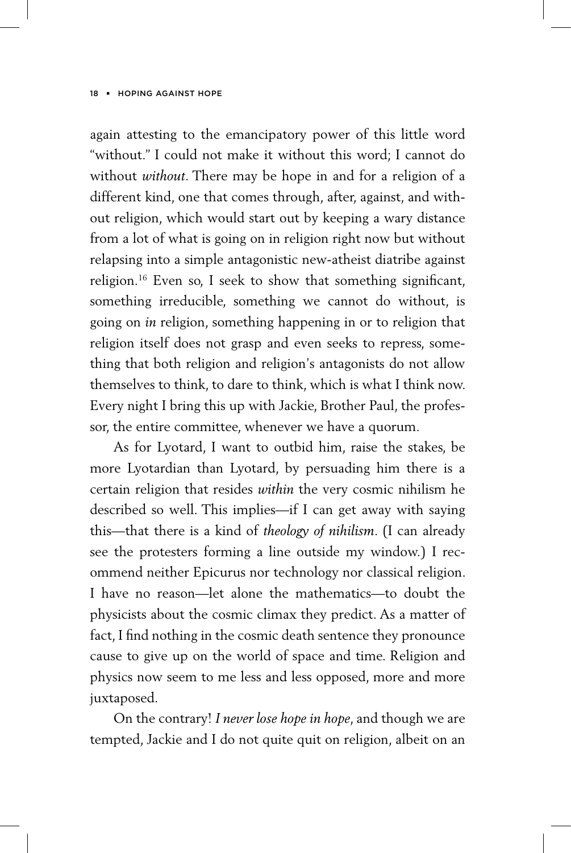again attesting to the emancipatory power of this little word "without." I could not make it without this word; I cannot do without *without*. There may be hope in and for a religion of a different kind, one that comes through, after, against, and without religion, which would start out by keeping a wary distance from a lot of what is going on in religion right now but without relapsing into a simple antagonistic new-atheist diatribe against religion.16 Even so, I seek to show that something significant, something irreducible, something we cannot do without, is going on *in* religion, something happening in or to religion that religion itself does not grasp and even seeks to repress, something that both religion and religion's antagonists do not allow themselves to think, to dare to think, which is what I think now. Every night I bring this up with Jackie, Brother Paul, the professor, the entire committee, whenever we have a quorum.

As for Lyotard, I want to outbid him, raise the stakes, be more Lyotardian than Lyotard, by persuading him there is a certain religion that resides *within* the very cosmic nihilism he described so well. This implies—if I can get away with saying this—that there is a kind of *theology of nihilism*. (I can already see the protesters forming a line outside my window.) I recommend neither Epicurus nor technology nor classical religion. I have no reason—let alone the mathematics—to doubt the physicists about the cosmic climax they predict. As a matter of fact, I find nothing in the cosmic death sentence they pronounce cause to give up on the world of space and time. Religion and physics now seem to me less and less opposed, more and more juxtaposed.

On the contrary! *I never lose hope in hope*, and though we are tempted, Jackie and I do not quite quit on religion, albeit on an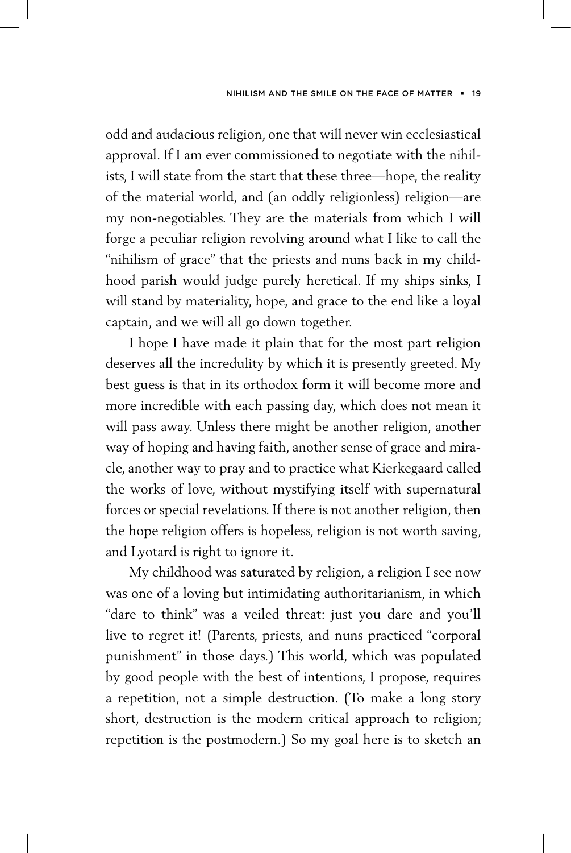odd and audacious religion, one that will never win ecclesiastical approval. If I am ever commissioned to negotiate with the nihilists, I will state from the start that these three—hope, the reality of the material world, and (an oddly religionless) religion—are my non-negotiables. They are the materials from which I will forge a peculiar religion revolving around what I like to call the "nihilism of grace" that the priests and nuns back in my childhood parish would judge purely heretical. If my ships sinks, I will stand by materiality, hope, and grace to the end like a loyal captain, and we will all go down together.

I hope I have made it plain that for the most part religion deserves all the incredulity by which it is presently greeted. My best guess is that in its orthodox form it will become more and more incredible with each passing day, which does not mean it will pass away. Unless there might be another religion, another way of hoping and having faith, another sense of grace and miracle, another way to pray and to practice what Kierkegaard called the works of love, without mystifying itself with supernatural forces or special revelations. If there is not another religion, then the hope religion offers is hopeless, religion is not worth saving, and Lyotard is right to ignore it.

My childhood was saturated by religion, a religion I see now was one of a loving but intimidating authoritarianism, in which "dare to think" was a veiled threat: just you dare and you'll live to regret it! (Parents, priests, and nuns practiced "corporal punishment" in those days.) This world, which was populated by good people with the best of intentions, I propose, requires a repetition, not a simple destruction. (To make a long story short, destruction is the modern critical approach to religion; repetition is the postmodern.) So my goal here is to sketch an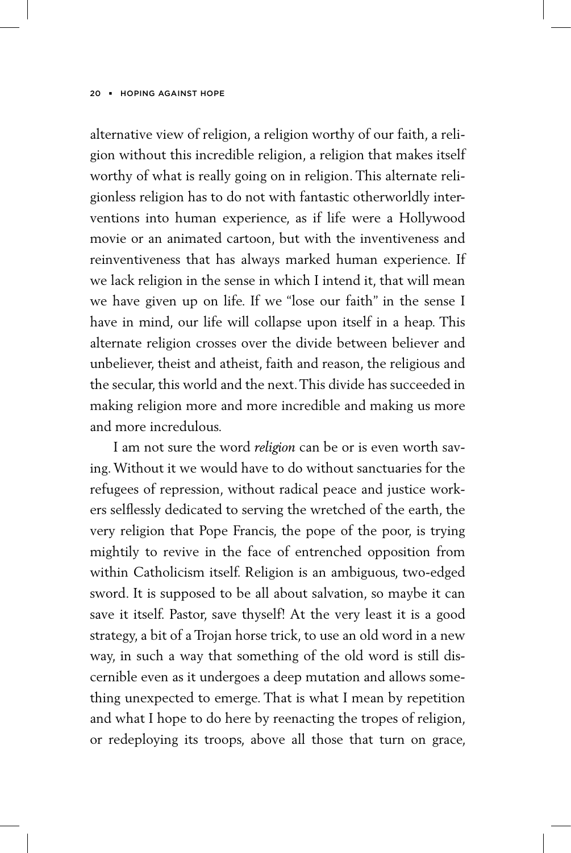alternative view of religion, a religion worthy of our faith, a religion without this incredible religion, a religion that makes itself worthy of what is really going on in religion. This alternate religionless religion has to do not with fantastic otherworldly interventions into human experience, as if life were a Hollywood movie or an animated cartoon, but with the inventiveness and reinventiveness that has always marked human experience. If we lack religion in the sense in which I intend it, that will mean we have given up on life. If we "lose our faith" in the sense I have in mind, our life will collapse upon itself in a heap. This alternate religion crosses over the divide between believer and unbeliever, theist and atheist, faith and reason, the religious and the secular, this world and the next. This divide has succeeded in making religion more and more incredible and making us more and more incredulous.

I am not sure the word *religion* can be or is even worth saving. Without it we would have to do without sanctuaries for the refugees of repression, without radical peace and justice workers selflessly dedicated to serving the wretched of the earth, the very religion that Pope Francis, the pope of the poor, is trying mightily to revive in the face of entrenched opposition from within Catholicism itself. Religion is an ambiguous, two-edged sword. It is supposed to be all about salvation, so maybe it can save it itself. Pastor, save thyself! At the very least it is a good strategy, a bit of a Trojan horse trick, to use an old word in a new way, in such a way that something of the old word is still discernible even as it undergoes a deep mutation and allows something unexpected to emerge. That is what I mean by repetition and what I hope to do here by reenacting the tropes of religion, or redeploying its troops, above all those that turn on grace,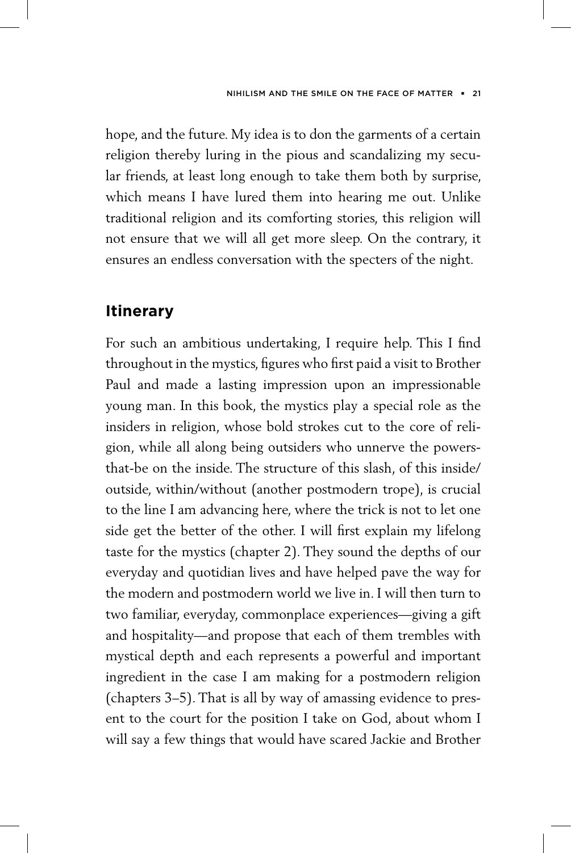hope, and the future. My idea is to don the garments of a certain religion thereby luring in the pious and scandalizing my secular friends, at least long enough to take them both by surprise, which means I have lured them into hearing me out. Unlike traditional religion and its comforting stories, this religion will not ensure that we will all get more sleep. On the contrary, it ensures an endless conversation with the specters of the night.

#### **Itinerary**

For such an ambitious undertaking, I require help. This I find throughout in the mystics, figures who first paid a visit to Brother Paul and made a lasting impression upon an impressionable young man. In this book, the mystics play a special role as the insiders in religion, whose bold strokes cut to the core of religion, while all along being outsiders who unnerve the powersthat-be on the inside. The structure of this slash, of this inside/ outside, within/without (another postmodern trope), is crucial to the line I am advancing here, where the trick is not to let one side get the better of the other. I will first explain my lifelong taste for the mystics (chapter 2). They sound the depths of our everyday and quotidian lives and have helped pave the way for the modern and postmodern world we live in. I will then turn to two familiar, everyday, commonplace experiences—giving a gift and hospitality—and propose that each of them trembles with mystical depth and each represents a powerful and important ingredient in the case I am making for a postmodern religion (chapters 3–5). That is all by way of amassing evidence to present to the court for the position I take on God, about whom I will say a few things that would have scared Jackie and Brother